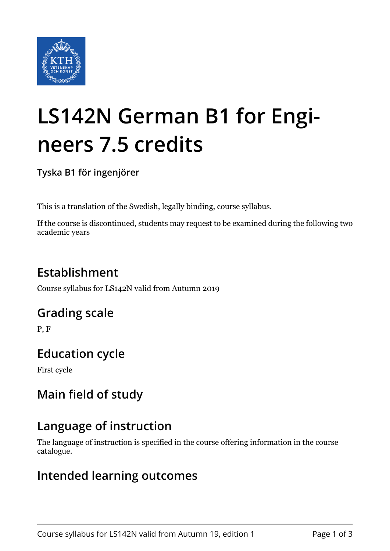

# **LS142N German B1 for Engineers 7.5 credits**

**Tyska B1 för ingenjörer**

This is a translation of the Swedish, legally binding, course syllabus.

If the course is discontinued, students may request to be examined during the following two academic years

# **Establishment**

Course syllabus for LS142N valid from Autumn 2019

## **Grading scale**

P, F

## **Education cycle**

First cycle

# **Main field of study**

## **Language of instruction**

The language of instruction is specified in the course offering information in the course catalogue.

## **Intended learning outcomes**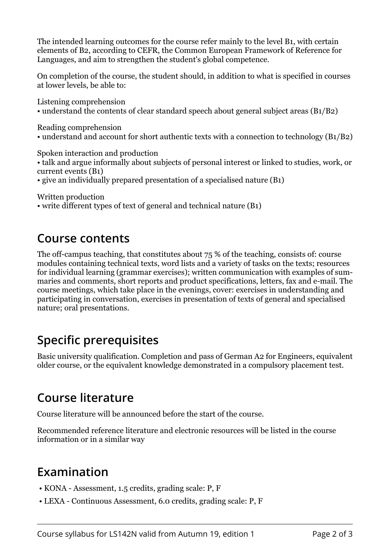The intended learning outcomes for the course refer mainly to the level B1, with certain elements of B2, according to CEFR, the Common European Framework of Reference for Languages, and aim to strengthen the student's global competence.

On completion of the course, the student should, in addition to what is specified in courses at lower levels, be able to:

Listening comprehension • understand the contents of clear standard speech about general subject areas (B1/B2)

Reading comprehension

• understand and account for short authentic texts with a connection to technology (B1/B2)

Spoken interaction and production

- talk and argue informally about subjects of personal interest or linked to studies, work, or current events (B1)
- give an individually prepared presentation of a specialised nature (B1)

Written production

• write different types of text of general and technical nature (B1)

#### **Course contents**

The off-campus teaching, that constitutes about 75 % of the teaching, consists of: course modules containing technical texts, word lists and a variety of tasks on the texts; resources for individual learning (grammar exercises); written communication with examples of summaries and comments, short reports and product specifications, letters, fax and e-mail. The course meetings, which take place in the evenings, cover: exercises in understanding and participating in conversation, exercises in presentation of texts of general and specialised nature; oral presentations.

## **Specific prerequisites**

Basic university qualification. Completion and pass of German A2 for Engineers, equivalent older course, or the equivalent knowledge demonstrated in a compulsory placement test.

## **Course literature**

Course literature will be announced before the start of the course.

Recommended reference literature and electronic resources will be listed in the course information or in a similar way

## **Examination**

- KONA Assessment, 1.5 credits, grading scale: P, F
- LEXA Continuous Assessment, 6.0 credits, grading scale: P, F